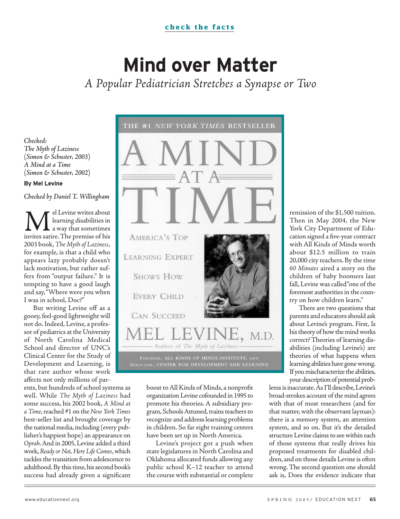# **Mind over Matter**

A Popular Pediatrician Stretches a Synapse or Two

Checked: The Myth of Laziness (Simon & Schuster, 2003) A Mind at a Time (Simon & Schuster, 2002)

#### **By Mel Levine**

Checked by Daniel T. Willingham

Mel Levine writes about invites satire.The premise of his learning disabilities in away that sometimes 2003 book,The Myth of Laziness, for example, is that a child who appears lazy probably doesn't lack motivation, but rather suffers from "output failure." It is tempting to have a good laugh and say,"Where were you when I was in school, Doc?"

But writing Levine off as a gooey, feel-good lightweight will not do. Indeed, Levine, a professor of pediatrics at the University of North Carolina Medical School and director of UNC's Clinical Center for the Study of Development and Learning, is that rare author whose work affects not only millions of par-

ents, but hundreds of school systems as well. While The Myth of Laziness had some success, his 2002 book, A Mind at aTime, reached #1 on the New York Times best-seller list and brought coverage by the national media, including (every publisher's happiest hope) an appearance on Oprah.And in 2005, Levine added a third work, Ready or Not, Here Life Comes, which tackles the transition from adolescence to adulthood. By this time, his second book's success had already given a significant



DIRECTOR, CENTER FOR DEVELOPMENT AND LEARNING

boost to All Kinds of Minds, a nonprofit organization Levine cofounded in 1995 to promote his theories. A subsidiary program, Schools Attuned, trains teachers to recognize and address learning problems in children. So far eight training centers have been set up in North America.

Levine's project got a push when state legislatures in North Carolina and Oklahoma allocated funds allowing any public school K–12 teacher to attend the course with substantial or complete

remission of the \$1,500 tuition. Then in May 2004, the New York City Department of Education signed a five-year contract with All Kinds of Minds worth about \$12.5 million to train 20,000 city teachers.By the time 60 Minutes aired a story on the children of baby boomers last fall, Levine was called "one of the foremost authorities in the country on how children learn."

There are two questions that parents and educators should ask about Levine's program. First, Is his theory of how the mind works correct? Theories of learning disabilities (including Levine's) are theories of what happens when learning abilities have gone wrong. If you mischaracterize the abilities, your description of potential prob-

lems is inaccurate.As I'll describe,Levine's broad-strokes account of the mind agrees with that of most researchers (and for that matter, with the observant layman): there is a memory system, an attention system, and so on. But it's the detailed structure Levine claims to see within each of those systems that really drives his proposed treatments for disabled children, and on those details Levine is often wrong. The second question one should ask is, Does the evidence indicate that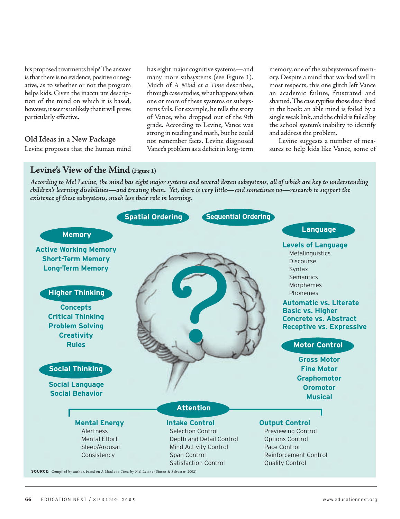his proposed treatments help? The answer is that there is no evidence, positive or negative, as to whether or not the program helps kids. Given the inaccurate description of the mind on which it is based, however, it seems unlikely that it will prove particularly effective.

#### Old Ideas in a New Package

Levine proposes that the human mind

has eight major cognitive systems—and many more subsystems (see Figure 1). Much of A Mind at a Time describes, through case studies, what happens when one or more of these systems or subsystems fails. For example, he tells the story of Vance, who dropped out of the 9th grade. According to Levine, Vance was strong in reading and math, but he could not remember facts. Levine diagnosed Vance's problem as a deficit in long-term memory, one of the subsystems of memory. Despite a mind that worked well in most respects, this one glitch left Vance an academic failure, frustrated and shamed.The case typifies those described in the book: an able mind is foiled by a single weak link, and the child is failed by the school system's inability to identify and address the problem.

Levine suggests a number of measures to help kids like Vance, some of

#### Levine's View of the Mind (Figure 1)

According to Mel Levine, the mind has eight major systems and several dozen subsystems, all of which are key to understanding children's learning disabilities—and treating them. Yet, there is very little—and sometimes no—research to support the existence of these subsystems, much less their role in learning.

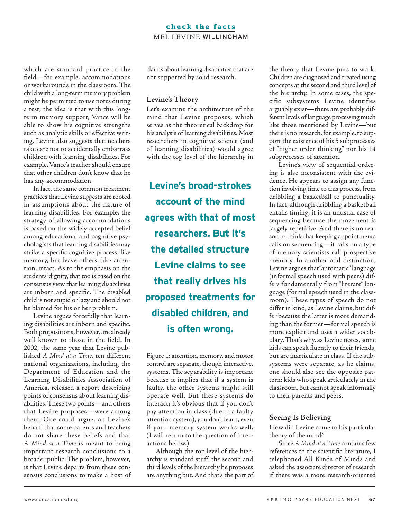#### **check the facts** MEL LEVINE WILLINGHAM

which are standard practice in the field—for example, accommodations or workarounds in the classroom. The child with a long-term memory problem might be permitted to use notes during a test; the idea is that with this longterm memory support, Vance will be able to show his cognitive strengths such as analytic skills or effective writing. Levine also suggests that teachers take care not to accidentally embarrass children with learning disabilities. For example,Vance's teacher should ensure that other children don't know that he has any accommodation.

In fact, the same common treatment practices that Levine suggests are rooted in assumptions about the nature of learning disabilities. For example, the strategy of allowing accommodations is based on the widely accepted belief among educational and cognitive psychologists that learning disabilities may strike a specific cognitive process, like memory, but leave others, like attention, intact. As to the emphasis on the students' dignity, that too is based on the consensus view that learning disabilities are inborn and specific. The disabled child is not stupid or lazy and should not be blamed for his or her problem.

Levine argues forcefully that learning disabilities are inborn and specific. Both propositions, however, are already well known to those in the field. In 2002, the same year that Levine published A Mind at a Time, ten different national organizations, including the Department of Education and the Learning Disabilities Association of America, released a report describing points of consensus about learning disabilities. These two points—and others that Levine proposes—were among them. One could argue, on Levine's behalf, that some parents and teachers do not share these beliefs and that A Mind at a Time is meant to bring important research conclusions to a broader public. The problem, however, is that Levine departs from these consensus conclusions to make a host of claims about learning disabilities that are not supported by solid research.

#### Levine's Theory

Let's examine the architecture of the mind that Levine proposes, which serves as the theoretical backdrop for his analysis of learning disabilities. Most researchers in cognitive science (and of learning disabilities) would agree with the top level of the hierarchy in

**Levine's broad-strokes account of the mind agrees with that of most researchers. But it's the detailed structure Levine claims to see that really drives his proposed treatments for disabled children, and is often wrong.**

Figure 1: attention, memory, and motor control are separate, though interactive, systems. The separability is important because it implies that if a system is faulty, the other systems might still operate well. But these systems do interact; it's obvious that if you don't pay attention in class (due to a faulty attention system), you don't learn, even if your memory system works well. (I will return to the question of interactions below.)

Although the top level of the hierarchy is standard stuff, the second and third levels of the hierarchy he proposes are anything but. And that's the part of the theory that Levine puts to work. Children are diagnosed and treated using concepts at the second and third level of the hierarchy. In some cases, the specific subsystems Levine identifies arguably exist—there are probably different levels of language processing much like those mentioned by Levine—but there is no research, for example, to support the existence of his 5 subprocesses of "higher order thinking" nor his 14 subprocesses of attention.

Levine's view of sequential ordering is also inconsistent with the evidence. He appears to assign any function involving time to this process, from dribbling a basketball to punctuality. In fact, although dribbling a basketball entails timing, it is an unusual case of sequencing because the movement is largely repetitive. And there is no reason to think that keeping appointments calls on sequencing—it calls on a type of memory scientists call prospective memory. In another odd distinction, Levine argues that "automatic" language (informal speech used with peers) differs fundamentally from "literate" language (formal speech used in the classroom). These types of speech do not differ in kind, as Levine claims, but differ because the latter is more demanding than the former—formal speech is more explicit and uses a wider vocabulary. That's why, as Levine notes, some kids can speak fluently to their friends, but are inarticulate in class. If the subsystems were separate, as he claims, one should also see the opposite pattern: kids who speak articulately in the classroom, but cannot speak informally to their parents and peers.

#### Seeing Is Believing

How did Levine come to his particular theory of the mind?

Since A Mind at a Time contains few references to the scientific literature, I telephoned All Kinds of Minds and asked the associate director of research if there was a more research-oriented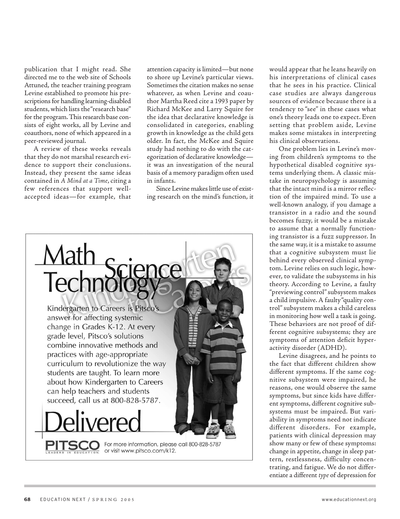publication that I might read. She directed me to the web site of Schools Attuned, the teacher training program Levine established to promote his prescriptions for handling learning-disabled students, which lists the "research base" for the program.This research base consists of eight works, all by Levine and coauthors, none of which appeared in a peer-reviewed journal.

A review of these works reveals that they do not marshal research evidence to support their conclusions. Instead, they present the same ideas contained in A Mind at a Time, citing a few references that support wellaccepted ideas—for example, that

attention capacity is limited—but none to shore up Levine's particular views. Sometimes the citation makes no sense whatever, as when Levine and coauthor Martha Reed cite a 1993 paper by Richard McKee and Larry Squire for the idea that declarative knowledge is consolidated in categories, enabling growth in knowledge as the child gets older. In fact, the McKee and Squire study had nothing to do with the categorization of declarative knowledge it was an investigation of the neural basis of a memory paradigm often used in infants.

Since Levine makes little use of existing research on the mind's function, it



would appear that he leans heavily on his interpretations of clinical cases that he sees in his practice. Clinical case studies are always dangerous sources of evidence because there is a tendency to "see" in these cases what one's theory leads one to expect. Even setting that problem aside, Levine makes some mistakes in interpreting his clinical observations.

One problem lies in Levine's moving from children's symptoms to the hypothetical disabled cognitive systems underlying them. A classic mistake in neuropsychology is assuming that the intact mind is a mirror reflection of the impaired mind. To use a well-known analogy, if you damage a transistor in a radio and the sound becomes fuzzy, it would be a mistake to assume that a normally functioning transistor is a fuzz suppressor. In the same way, it is a mistake to assume that a cognitive subsystem must lie behind every observed clinical symptom. Levine relies on such logic, however, to validate the subsystems in his theory. According to Levine, a faulty "previewing control" subsystem makes a child impulsive. A faulty "quality control"subsystem makes a child careless in monitoring how well a task is going. These behaviors are not proof of different cognitive subsystems; they are symptoms of attention deficit hyperactivity disorder (ADHD).

Levine disagrees, and he points to the fact that different children show different symptoms. If the same cognitive subsystem were impaired, he reasons, one would observe the same symptoms, but since kids have different symptoms, different cognitive subsystems must be impaired. But variability in symptoms need not indicate different disorders. For example, patients with clinical depression may show many or few of these symptoms: change in appetite, change in sleep pattern, restlessness, difficulty concentrating, and fatigue. We do not differentiate a different type of depression for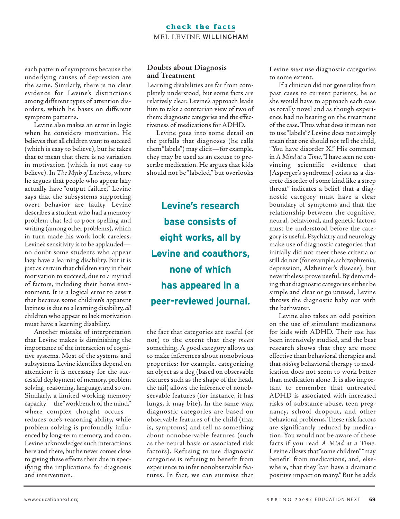#### **check the facts** MEL LEVINE WILLINGHAM

each pattern of symptoms because the underlying causes of depression are the same. Similarly, there is no clear evidence for Levine's distinctions among different types of attention disorders, which he bases on different symptom patterns.

Levine also makes an error in logic when he considers motivation. He believes that all children want to succeed (which is easy to believe), but he takes that to mean that there is no variation in motivation (which is not easy to believe). In The Myth of Laziness, where he argues that people who appear lazy actually have "output failure," Levine says that the subsystems supporting overt behavior are faulty. Levine describes a student who had a memory problem that led to poor spelling and writing (among other problems), which in turn made his work look careless. Levine's sensitivity is to be applauded no doubt some students who appear lazy have a learning disability. But it is just as certain that children vary in their motivation to succeed, due to a myriad of factors, including their home environment. It is a logical error to assert that because some children's apparent laziness is due to a learning disability, all children who appear to lack motivation must have a learning disability.

Another mistake of interpretation that Levine makes is diminishing the importance of the interaction of cognitive systems. Most of the systems and subsystems Levine identifies depend on attention: it is necessary for the successful deployment of memory, problem solving, reasoning, language, and so on. Similarly, a limited working memory capacity-the "workbench of the mind," where complex thought occurs reduces one's reasoning ability, while problem solving is profoundly influenced by long-term memory, and so on. Levine acknowledges such interactions here and there, but he never comes close to giving these effects their due in specifying the implications for diagnosis and intervention.

#### Doubts about Diagnosis and Treatment

Learning disabilities are far from completely understood, but some facts are relatively clear. Levine's approach leads him to take a contrarian view of two of them: diagnostic categories and the effectiveness of medications for ADHD.

Levine goes into some detail on the pitfalls that diagnoses (he calls them "labels") may elicit—for example, they may be used as an excuse to prescribe medication. He argues that kids should not be "labeled," but overlooks

**Levine's research base consists of eight works, all by Levine and coauthors, none of which has appeared in a peer-reviewed journal.**

the fact that categories are useful (or not) to the extent that they mean something. A good category allows us to make inferences about nonobvious properties: for example, categorizing an object as a dog (based on observable features such as the shape of the head, the tail) allows the inference of nonobservable features (for instance, it has lungs, it may bite). In the same way, diagnostic categories are based on observable features of the child (that is, symptoms) and tell us something about nonobservable features (such as the neural basis or associated risk factors). Refusing to use diagnostic categories is refusing to benefit from experience to infer nonobservable features. In fact, we can surmise that

Levine must use diagnostic categories to some extent.

If a clinician did not generalize from past cases to current patients, he or she would have to approach each case as totally novel and as though experience had no bearing on the treatment of the case. Thus what does it mean not to use "labels"? Levine does not simply mean that one should not tell the child, "You have disorder X." His comment in A Mind at a Time,"I have seen no convincing scientific evidence that [Asperger's syndrome] exists as a discrete disorder of some kind like a strep throat" indicates a belief that a diagnostic category must have a clear boundary of symptoms and that the relationship between the cognitive, neural, behavioral, and genetic factors must be understood before the category is useful. Psychiatry and neurology make use of diagnostic categories that initially did not meet these criteria or still do not (for example, schizophrenia, depression, Alzheimer's disease), but nevertheless prove useful. By demanding that diagnostic categories either be simple and clear or go unused, Levine throws the diagnostic baby out with the bathwater.

Levine also takes an odd position on the use of stimulant medications for kids with ADHD. Their use has been intensively studied, and the best research shows that they are more effective than behavioral therapies and that adding behavioral therapy to medication does not seem to work better than medication alone. It is also important to remember that untreated ADHD is associated with increased risks of substance abuse, teen pregnancy, school dropout, and other behavioral problems. These risk factors are significantly reduced by medication. You would not be aware of these facts if you read A Mind at a Time. Levine allows that "some children""may benefit" from medications, and, elsewhere, that they "can have a dramatic positive impact on many." But he adds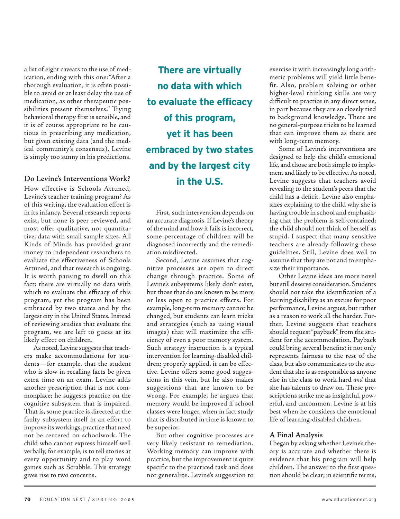a list of eight caveats to the use of medication, ending with this one: "After a thorough evaluation, it is often possible to avoid or at least delay the use of medication, as other therapeutic possibilities present themselves." Trying behavioral therapy first is sensible, and it is of course appropriate to be cautious in prescribing any medication, but given existing data (and the medical community's consensus), Levine is simply too sunny in his predictions.

#### Do Levine's Interventions Work?

How effective is Schools Attuned, Levine's teacher training program? As of this writing, the evaluation effort is in its infancy. Several research reports exist, but none is peer reviewed, and most offer qualitative, not quantitative, data with small sample sizes. All Kinds of Minds has provided grant money to independent researchers to evaluate the effectiveness of Schools Attuned, and that research is ongoing. It is worth pausing to dwell on this fact: there are virtually no data with which to evaluate the efficacy of this program, yet the program has been embraced by two states and by the largest city in the United States. Instead of reviewing studies that evaluate the program, we are left to guess at its likely effect on children.

As noted, Levine suggests that teachers make accommodations for students—for example, that the student who is slow in recalling facts be given extra time on an exam. Levine adds another prescription that is not commonplace; he suggests practice on the cognitive subsystem that is impaired. That is, some practice is directed at the faulty subsystem itself in an effort to improve its workings, practice that need not be centered on schoolwork. The child who cannot express himself well verbally, for example, is to tell stories at every opportunity and to play word games such as Scrabble. This strategy gives rise to two concerns.

**There are virtually no data with which to evaluate the efficacy of this program, yet it has been embraced by two states and by the largest city in the U.S.**

First, such intervention depends on an accurate diagnosis. If Levine's theory of the mind and how it fails is incorrect, some percentage of children will be diagnosed incorrectly and the remediation misdirected.

Second, Levine assumes that cognitive processes are open to direct change through practice. Some of Levine's subsystems likely don't exist, but those that do are known to be more or less open to practice effects. For example, long-term memory cannot be changed, but students can learn tricks and strategies (such as using visual images) that will maximize the efficiency of even a poor memory system. Such strategy instruction is a typical intervention for learning-disabled children; properly applied, it can be effective. Levine offers some good suggestions in this vein, but he also makes suggestions that are known to be wrong. For example, he argues that memory would be improved if school classes were longer, when in fact study that is distributed in time is known to be superior.

But other cognitive processes are very likely resistant to remediation. Working memory can improve with practice, but the improvement is quite specific to the practiced task and does not generalize. Levine's suggestion to

exercise it with increasingly long arithmetic problems will yield little benefit. Also, problem solving or other higher-level thinking skills are very difficult to practice in any direct sense, in part because they are so closely tied to background knowledge. There are no general-purpose tricks to be learned that can improve them as there are with long-term memory.

Some of Levine's interventions are designed to help the child's emotional life, and those are both simple to implement and likely to be effective.As noted, Levine suggests that teachers avoid revealing to the student's peers that the child has a deficit. Levine also emphasizes explaining to the child why she is having trouble in school and emphasizing that the problem is self-contained; the child should not think of herself as stupid. I suspect that many sensitive teachers are already following these guidelines. Still, Levine does well to assume that they are not and to emphasize their importance.

Other Levine ideas are more novel but still deserve consideration. Students should not take the identification of a learning disability as an excuse for poor performance, Levine argues, but rather as a reason to work all the harder. Further, Levine suggests that teachers should request "payback" from the student for the accommodation. Payback could bring several benefits: it not only represents fairness to the rest of the class, but also communicates to the student that she is as responsible as anyone else in the class to work hard and that she has talents to draw on. These prescriptions strike me as insightful, powerful, and uncommon. Levine is at his best when he considers the emotional life of learning-disabled children.

#### A Final Analysis

I began by asking whether Levine's theory is accurate and whether there is evidence that his program will help children. The answer to the first question should be clear; in scientific terms,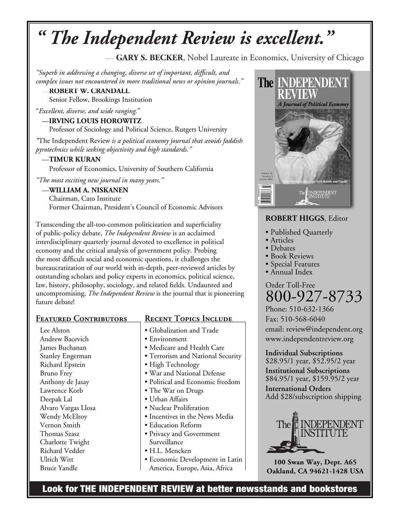# <sup>*defrait The Independent Review is excellent.*"</sup>

 $-$  GARY S. BECKER, Nobel Laureate in Economics, University of Chicago

"Superb in addressing a changing, diverse set of important, difficult, and complex issues not encountered in more traditional news or opinion journals."

 $-$ **ROBERT W. CRANDALL** Senior Fellow, Brookings Institution

"Excellent, diverse, and wide ranging."

#### $\rightarrow$ **IRVING LOUIS HOROWITZ**

Professor of Sociology and Political Science, Rutgers University

*f*The Independent Review *is a political economy journal that avoids faddish pyrotechnics while seeking objectivity and high standards.*"

#### $-$ TIMUR KURAN

Professor of Economics, University of Southern California

"The most exciting new journal in many years."

-WILLIAM A. NISKANEN

Chairman, Cato Institute Former Chairman, President's Council of Economic Advisors

Transcending the all-too-common politicization and superficiality of public-policy debate, *The Independent Review* is an acclaimed **Interdisciplinary quarterly journal devoted to excellence in political** economy and the critical analysis of government policy. Probing the most difficult social and economic questions, it challenges the bureaucratization of our world with in-depth, peer-reviewed articles by outstanding scholars and policy experts in economics, political science, law, history, philosophy, sociology, and related fields. Undaunted and uncompromising, *The Independent Review* is the journal that is pioneering future debate!

#### **EEATURED CONTRIBUTORS**

Lee Alston **Andrew Bacevich Iames Buchanan Stanley Engerman Richard Epstein Bruno** Frey Anthony de Jasay Lawrence Korb Deepak Lal **Alvaro Vargas Llosa Wendy McElroy Vernon** Smith **Thomas** Szasz **Charlotte Twight Richard Vedder** Ulrich Witt **Bruce Yandle** 

## **RECENT TOPICS INCLUDE**

**• Globalization and Trade • Environment** • Medicare and Health Care **• Terrorism and National Security** • High Technology **• War and National Defense • Political and Economic freedom** • The War on Drugs **• Urban Affairs • Nuclear Proliferation • Incentives in the News Media • Education Reform • Privacy and Government** Surveillance  $\bullet$  H.L. Mencken **• Economic Development in Latin** America, Europe, Asia, Africa



### **ROBERT HIGGS.** Editor

- Published Quarterly
- **•** Articles
- **•** Debates
- **Book Reviews**
- **Special Features**
- **Annual Index**

## **Order Toll-Free** 800-927-8733

Phone: 510-632-1366 Fax: 510-568-6040 email: review@independent.org www.independentreview.org

**Individual Subscriptions** \$28.95/1 year, \$52.95/2 year **Institutional Subscriptions** 

\$84.95/1 year, \$159.95/2 year **International Orders** 

Add \$28/subscription shipping



100 Swan Way, Dept. A65  $Oakland, CA 94621-1428 USA$ 

Look for THE INDEPENDENT REVIEW at better newsstands and bookstores